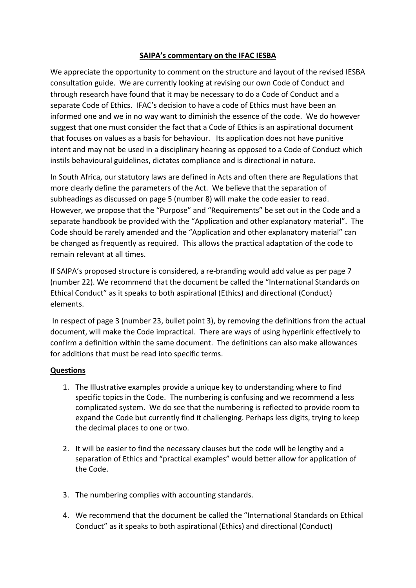## **SAIPA's commentary on the IFAC IESBA**

We appreciate the opportunity to comment on the structure and layout of the revised IESBA consultation guide. We are currently looking at revising our own Code of Conduct and through research have found that it may be necessary to do a Code of Conduct and a separate Code of Ethics. IFAC's decision to have a code of Ethics must have been an informed one and we in no way want to diminish the essence of the code. We do however suggest that one must consider the fact that a Code of Ethics is an aspirational document that focuses on values as a basis for behaviour. Its application does not have punitive intent and may not be used in a disciplinary hearing as opposed to a Code of Conduct which instils behavioural guidelines, dictates compliance and is directional in nature.

In South Africa, our statutory laws are defined in Acts and often there are Regulations that more clearly define the parameters of the Act. We believe that the separation of subheadings as discussed on page 5 (number 8) will make the code easier to read. However, we propose that the "Purpose" and "Requirements" be set out in the Code and a separate handbook be provided with the "Application and other explanatory material". The Code should be rarely amended and the "Application and other explanatory material" can be changed as frequently as required. This allows the practical adaptation of the code to remain relevant at all times.

If SAIPA's proposed structure is considered, a re-branding would add value as per page 7 (number 22). We recommend that the document be called the "International Standards on Ethical Conduct" as it speaks to both aspirational (Ethics) and directional (Conduct) elements.

In respect of page 3 (number 23, bullet point 3), by removing the definitions from the actual document, will make the Code impractical. There are ways of using hyperlink effectively to confirm a definition within the same document. The definitions can also make allowances for additions that must be read into specific terms.

## **Questions**

- 1. The Illustrative examples provide a unique key to understanding where to find specific topics in the Code. The numbering is confusing and we recommend a less complicated system. We do see that the numbering is reflected to provide room to expand the Code but currently find it challenging. Perhaps less digits, trying to keep the decimal places to one or two.
- 2. It will be easier to find the necessary clauses but the code will be lengthy and a separation of Ethics and "practical examples" would better allow for application of the Code.
- 3. The numbering complies with accounting standards.
- 4. We recommend that the document be called the "International Standards on Ethical Conduct" as it speaks to both aspirational (Ethics) and directional (Conduct)